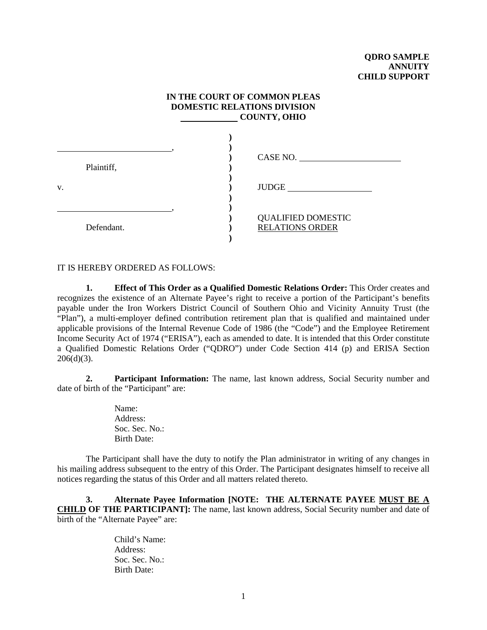## **IN THE COURT OF COMMON PLEAS DOMESTIC RELATIONS DIVISION COUNTY, OHIO**

|    | Plaintiff, | CASE NO.                                            |
|----|------------|-----------------------------------------------------|
| V. |            | <b>JUDGE</b>                                        |
|    | Defendant. | <b>QUALIFIED DOMESTIC</b><br><b>RELATIONS ORDER</b> |

IT IS HEREBY ORDERED AS FOLLOWS:

**1. Effect of This Order as a Qualified Domestic Relations Order:** This Order creates and recognizes the existence of an Alternate Payee's right to receive a portion of the Participant's benefits payable under the Iron Workers District Council of Southern Ohio and Vicinity Annuity Trust (the "Plan"), a multi-employer defined contribution retirement plan that is qualified and maintained under applicable provisions of the Internal Revenue Code of 1986 (the "Code") and the Employee Retirement Income Security Act of 1974 ("ERISA"), each as amended to date. It is intended that this Order constitute a Qualified Domestic Relations Order ("QDRO") under Code Section 414 (p) and ERISA Section  $206(d)(3)$ .

**2. Participant Information:** The name, last known address, Social Security number and date of birth of the "Participant" are:

> Name: Address: Soc. Sec. No.: Birth Date:

The Participant shall have the duty to notify the Plan administrator in writing of any changes in his mailing address subsequent to the entry of this Order. The Participant designates himself to receive all notices regarding the status of this Order and all matters related thereto.

**3. Alternate Payee Information [NOTE: THE ALTERNATE PAYEE MUST BE A CHILD OF THE PARTICIPANT]:** The name, last known address, Social Security number and date of birth of the "Alternate Payee" are:

> Child's Name: Address: Soc. Sec. No.: Birth Date: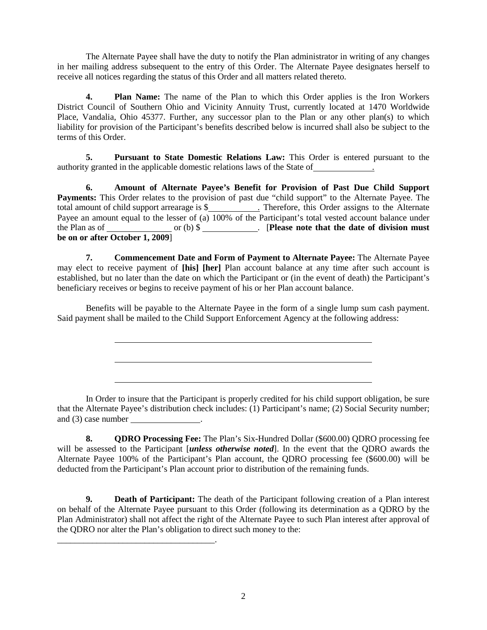The Alternate Payee shall have the duty to notify the Plan administrator in writing of any changes in her mailing address subsequent to the entry of this Order. The Alternate Payee designates herself to receive all notices regarding the status of this Order and all matters related thereto.

**4. Plan Name:** The name of the Plan to which this Order applies is the Iron Workers District Council of Southern Ohio and Vicinity Annuity Trust, currently located at 1470 Worldwide Place, Vandalia, Ohio 45377. Further, any successor plan to the Plan or any other plan(s) to which liability for provision of the Participant's benefits described below is incurred shall also be subject to the terms of this Order.

**5. Pursuant to State Domestic Relations Law:** This Order is entered pursuant to the authority granted in the applicable domestic relations laws of the State of .

**6. Amount of Alternate Payee's Benefit for Provision of Past Due Child Support Payments:** This Order relates to the provision of past due "child support" to the Alternate Payee. The total amount of child support arrearage is \$ . Therefore, this Order assigns to the Alternate Payee an amount equal to the lesser of (a)  $100\%$  of the Participant's total vested account balance under the Plan as of or (b)  $\$\$ . [Please note that the date of division must or (b) \$ \_\_\_\_\_\_\_\_\_\_\_. [Please note that the date of division must **be on or after October 1, 2009**]

**7. Commencement Date and Form of Payment to Alternate Payee:** The Alternate Payee may elect to receive payment of **[his] [her]** Plan account balance at any time after such account is established, but no later than the date on which the Participant or (in the event of death) the Participant's beneficiary receives or begins to receive payment of his or her Plan account balance.

Benefits will be payable to the Alternate Payee in the form of a single lump sum cash payment. Said payment shall be mailed to the Child Support Enforcement Agency at the following address:

In Order to insure that the Participant is properly credited for his child support obligation, be sure that the Alternate Payee's distribution check includes: (1) Participant's name; (2) Social Security number; and (3) case number \_\_\_\_\_\_\_\_\_\_\_\_\_\_\_.

**8. QDRO Processing Fee:** The Plan's Six-Hundred Dollar (\$600.00) QDRO processing fee will be assessed to the Participant [*unless otherwise noted*]. In the event that the QDRO awards the Alternate Payee 100% of the Participant's Plan account, the QDRO processing fee (\$600.00) will be deducted from the Participant's Plan account prior to distribution of the remaining funds.

**9. Death of Participant:** The death of the Participant following creation of a Plan interest on behalf of the Alternate Payee pursuant to this Order (following its determination as a QDRO by the Plan Administrator) shall not affect the right of the Alternate Payee to such Plan interest after approval of the QDRO nor alter the Plan's obligation to direct such money to the:

\_\_\_\_\_\_\_\_\_\_\_\_\_\_\_\_\_\_\_\_\_\_\_\_\_\_\_\_\_\_\_\_\_\_\_\_.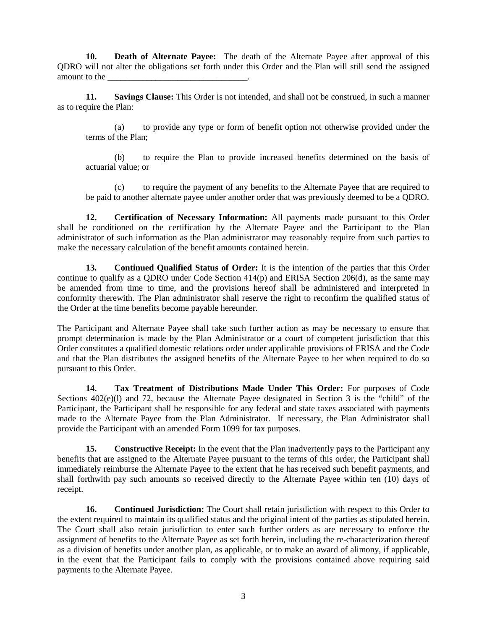**10. Death of Alternate Payee:** The death of the Alternate Payee after approval of this QDRO will not alter the obligations set forth under this Order and the Plan will still send the assigned amount to the

**11. Savings Clause:** This Order is not intended, and shall not be construed, in such a manner as to require the Plan:

(a) to provide any type or form of benefit option not otherwise provided under the terms of the Plan;

(b) to require the Plan to provide increased benefits determined on the basis of actuarial value; or

(c) to require the payment of any benefits to the Alternate Payee that are required to be paid to another alternate payee under another order that was previously deemed to be a QDRO.

**12. Certification of Necessary Information:** All payments made pursuant to this Order shall be conditioned on the certification by the Alternate Payee and the Participant to the Plan administrator of such information as the Plan administrator may reasonably require from such parties to make the necessary calculation of the benefit amounts contained herein.

**13. Continued Qualified Status of Order:** It is the intention of the parties that this Order continue to qualify as a QDRO under Code Section 414(p) and ERISA Section 206(d), as the same may be amended from time to time, and the provisions hereof shall be administered and interpreted in conformity therewith. The Plan administrator shall reserve the right to reconfirm the qualified status of the Order at the time benefits become payable hereunder.

The Participant and Alternate Payee shall take such further action as may be necessary to ensure that prompt determination is made by the Plan Administrator or a court of competent jurisdiction that this Order constitutes a qualified domestic relations order under applicable provisions of ERISA and the Code and that the Plan distributes the assigned benefits of the Alternate Payee to her when required to do so pursuant to this Order.

**14. Tax Treatment of Distributions Made Under This Order:** For purposes of Code Sections  $402(e)(1)$  and 72, because the Alternate Payee designated in Section 3 is the "child" of the Participant, the Participant shall be responsible for any federal and state taxes associated with payments made to the Alternate Payee from the Plan Administrator. If necessary, the Plan Administrator shall provide the Participant with an amended Form 1099 for tax purposes.

**15. Constructive Receipt:** In the event that the Plan inadvertently pays to the Participant any benefits that are assigned to the Alternate Payee pursuant to the terms of this order, the Participant shall immediately reimburse the Alternate Payee to the extent that he has received such benefit payments, and shall forthwith pay such amounts so received directly to the Alternate Payee within ten (10) days of receipt.

**16. Continued Jurisdiction:** The Court shall retain jurisdiction with respect to this Order to the extent required to maintain its qualified status and the original intent of the parties as stipulated herein. The Court shall also retain jurisdiction to enter such further orders as are necessary to enforce the assignment of benefits to the Alternate Payee as set forth herein, including the re-characterization thereof as a division of benefits under another plan, as applicable, or to make an award of alimony, if applicable, in the event that the Participant fails to comply with the provisions contained above requiring said payments to the Alternate Payee.